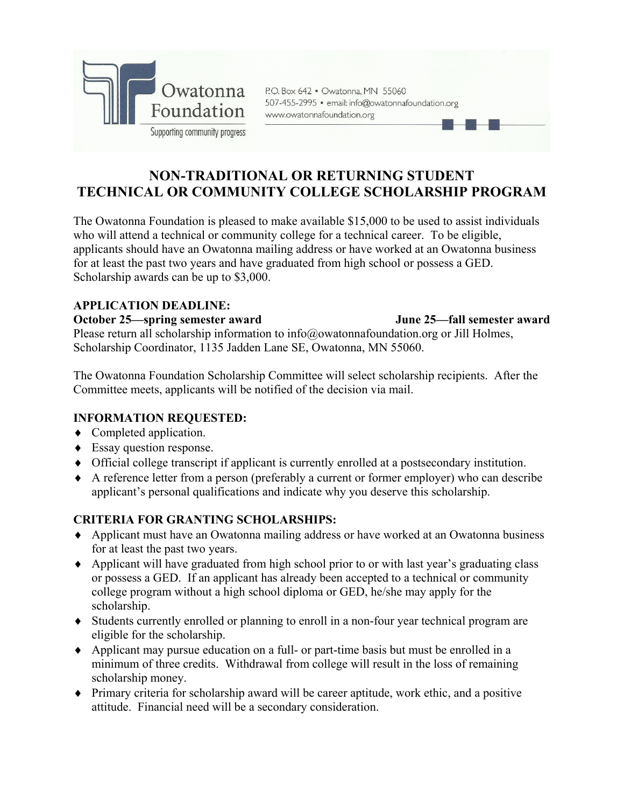

P.O. Box 642 · Owatonna, MN 55060 507-455-2995 · email: info@owatonnafoundation.org www.owatonnafoundation.org

# **NON-TRADITIONAL OR RETURNING STUDENT TECHNICAL OR COMMUNITY COLLEGE SCHOLARSHIP PROGRAM**

The Owatonna Foundation is pleased to make available \$15,000 to be used to assist individuals who will attend a technical or community college for a technical career. To be eligible, applicants should have an Owatonna mailing address or have worked at an Owatonna business for at least the past two years and have graduated from high school or possess a GED. Scholarship awards can be up to \$3,000.

# **APPLICATION DEADLINE:**

### **October 25—spring semester award June 25—fall semester award**

Please return all scholarship information to info@owatonnafoundation.org or Jill Holmes, Scholarship Coordinator, 1135 Jadden Lane SE, Owatonna, MN 55060.

The Owatonna Foundation Scholarship Committee will select scholarship recipients. After the Committee meets, applicants will be notified of the decision via mail.

# **INFORMATION REQUESTED:**

- Completed application.
- Essay question response.
- Official college transcript if applicant is currently enrolled at a postsecondary institution.
- A reference letter from a person (preferably a current or former employer) who can describe applicant's personal qualifications and indicate why you deserve this scholarship.

# **CRITERIA FOR GRANTING SCHOLARSHIPS:**

- Applicant must have an Owatonna mailing address or have worked at an Owatonna business for at least the past two years.
- Applicant will have graduated from high school prior to or with last year's graduating class or possess a GED. If an applicant has already been accepted to a technical or community college program without a high school diploma or GED, he/she may apply for the scholarship.
- Students currently enrolled or planning to enroll in a non-four year technical program are eligible for the scholarship.
- Applicant may pursue education on a full- or part-time basis but must be enrolled in a minimum of three credits. Withdrawal from college will result in the loss of remaining scholarship money.
- Primary criteria for scholarship award will be career aptitude, work ethic, and a positive attitude. Financial need will be a secondary consideration.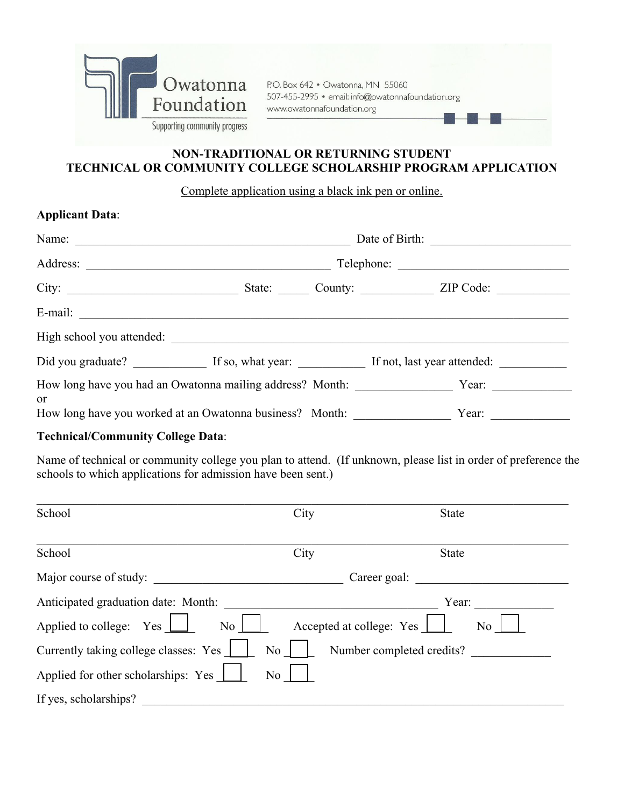

P.O. Box 642 . Owatonna, MN 55060 507-455-2995 · email: info@owatonnafoundation.org www.owatonnafoundation.org

# **NON-TRADITIONAL OR RETURNING STUDENT TECHNICAL OR COMMUNITY COLLEGE SCHOLARSHIP PROGRAM APPLICATION**

Complete application using a black ink pen or online.

# **Applicant Data**:

| Name:                                                           |            |  |         |           |  |
|-----------------------------------------------------------------|------------|--|---------|-----------|--|
| Address:                                                        | Telephone: |  |         |           |  |
| City:                                                           | State:     |  | County: | ZIP Code: |  |
| E-mail:                                                         |            |  |         |           |  |
| High school you attended:                                       |            |  |         |           |  |
| Did you graduate? If so, what year: If not, last year attended: |            |  |         |           |  |
| How long have you had an Owatonna mailing address? Month:<br>or |            |  |         | Year:     |  |
| How long have you worked at an Owatonna business? Month:        |            |  |         | Year:     |  |

# **Technical/Community College Data**:

Name of technical or community college you plan to attend. (If unknown, please list in order of preference the schools to which applications for admission have been sent.)

| School                                                | City                      | <b>State</b> |
|-------------------------------------------------------|---------------------------|--------------|
| School                                                | City                      | <b>State</b> |
| Major course of study:                                | Career goal:              |              |
| Anticipated graduation date: Month:                   |                           | Year:        |
| Applied to college: Yes<br>$\overline{N_0}$           | Accepted at college: Yes  | No           |
| Currently taking college classes: Yes<br>No.          | Number completed credits? |              |
| Applied for other scholarships: Yes<br>N <sub>o</sub> |                           |              |
| If yes, scholarships?                                 |                           |              |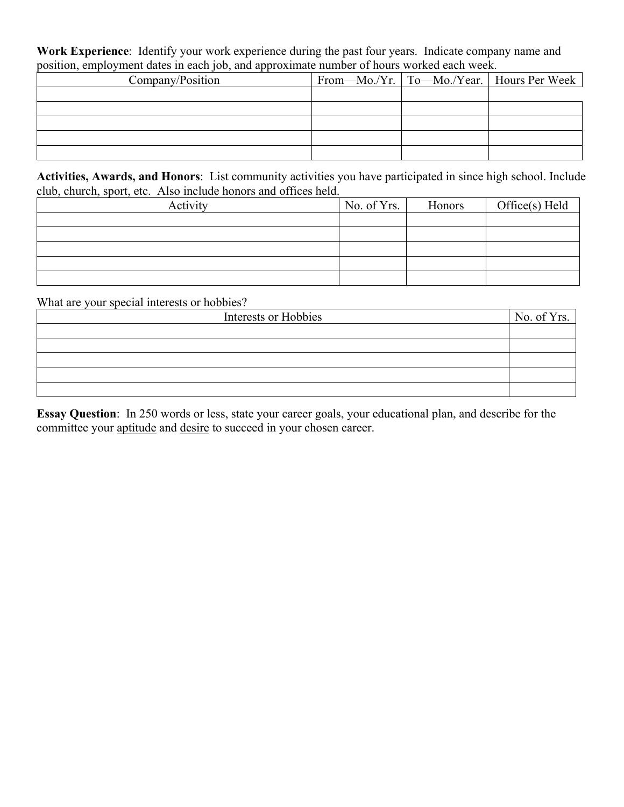**Work Experience**: Identify your work experience during the past four years. Indicate company name and position, employment dates in each job, and approximate number of hours worked each week.

| Company/Position |  | From—Mo./Yr.   To—Mo./Year.   Hours Per Week |
|------------------|--|----------------------------------------------|
|                  |  |                                              |
|                  |  |                                              |
|                  |  |                                              |
|                  |  |                                              |
|                  |  |                                              |

**Activities, Awards, and Honors**: List community activities you have participated in since high school. Include club, church, sport, etc. Also include honors and offices held.

| Activity | No. of Yrs. | Honors | Office(s) Held |
|----------|-------------|--------|----------------|
|          |             |        |                |
|          |             |        |                |
|          |             |        |                |
|          |             |        |                |
|          |             |        |                |

What are your special interests or hobbies?

| Interests or Hobbies | No. of Yrs. $\vert$ |
|----------------------|---------------------|
|                      |                     |
|                      |                     |
|                      |                     |
|                      |                     |
|                      |                     |

**Essay Question**: In 250 words or less, state your career goals, your educational plan, and describe for the committee your aptitude and desire to succeed in your chosen career.